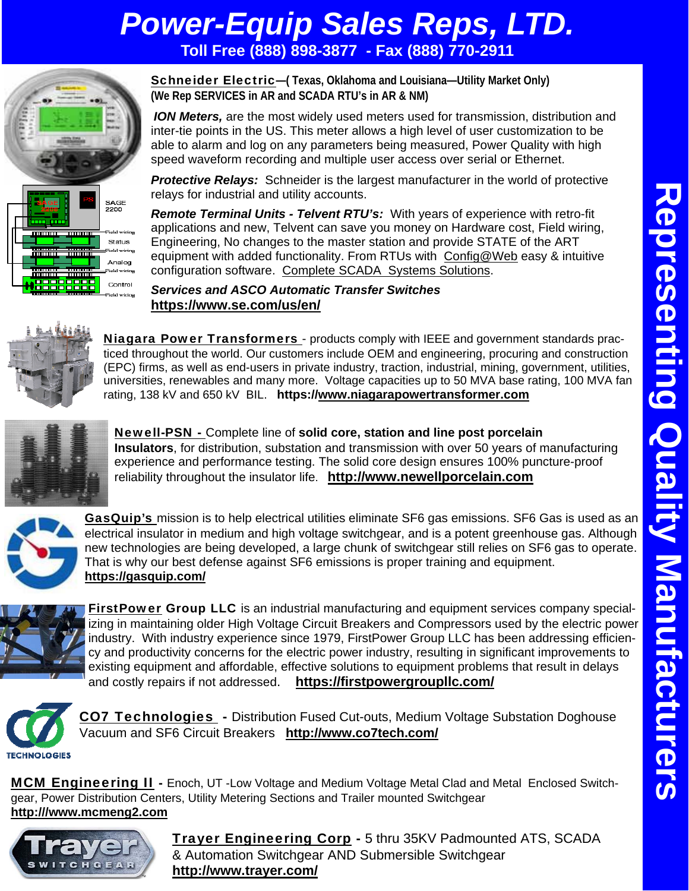## *Power-Equip Sales Reps, LTD.*  **Toll Free (888) 898-3877 - Fax (888) 770-2911**



Schneider Electric**—( Texas, Oklahoma and Louisiana—Utility Market Only) (We Rep SERVICES in AR and SCADA RTU's in AR & NM)** 

*ION Meters,* are the most widely used meters used for transmission, distribution and inter-tie points in the US. This meter allows a high level of user customization to be able to alarm and log on any parameters being measured, Power Quality with high speed waveform recording and multiple user access over serial or Ethernet.

**Protective Relays:** Schneider is the largest manufacturer in the world of protective relays for industrial and utility accounts.

*Remote Terminal Units - Telvent RTU's:* With years of experience with retro-fit applications and new, Telvent can save you money on Hardware cost, Field wiring, Engineering, No changes to the master station and provide STATE of the ART equipment with added functionality. From RTUs with Config@Web easy & intuitive configuration software. Complete SCADA Systems Solutions.

#### *Services and ASCO Automatic Transfer Switches* **https://www.se.com/us/en/**



Niagara Power Transformers - products comply with IEEE and government standards practiced throughout the world. Our customers include OEM and engineering, procuring and construction (EPC) firms, as well as end-users in private industry, traction, industrial, mining, government, utilities, universities, renewables and many more. Voltage capacities up to 50 MVA base rating, 100 MVA fan rating, 138 kV and 650 kV BIL. **https://www.niagarapowertransformer.com** 



Newell-PSN - Complete line of **solid core, station and line post porcelain Insulators**, for distribution, substation and transmission with over 50 years of manufacturing experience and performance testing. The solid core design ensures 100% puncture-proof reliability throughout the insulator life. **http://www.newellporcelain.com** 



GasQuip's mission is to help electrical utilities eliminate SF6 gas emissions. SF6 Gas is used as an electrical insulator in medium and high voltage switchgear, and is a potent greenhouse gas. Although new technologies are being developed, a large chunk of switchgear still relies on SF6 gas to operate. That is why our best defense against SF6 emissions is proper training and equipment. **https://gasquip.com/** 



**FirstPower Group LLC** is an industrial manufacturing and equipment services company specializing in maintaining older High Voltage Circuit Breakers and Compressors used by the electric power industry. With industry experience since 1979, FirstPower Group LLC has been addressing efficiency and productivity concerns for the electric power industry, resulting in significant improvements to existing equipment and affordable, effective solutions to equipment problems that result in delays and costly repairs if not addressed. **https://firstpowergroupllc.com/**



**CO7 Technologies** - Distribution Fused Cut-outs, Medium Voltage Substation Doghouse Vacuum and SF6 Circuit Breakers **http://www.co7tech.com/**

**MCM Engineering II** - Enoch, UT -Low Voltage and Medium Voltage Metal Clad and Metal Enclosed Switchgear, Power Distribution Centers, Utility Metering Sections and Trailer mounted Switchgear **http:///www.mcmeng2.com** 



Trayer Engineering Corp - 5 thru 35KV Padmounted ATS, SCADA & Automation Switchgear AND Submersible Switchgear **http://www.trayer.com/**